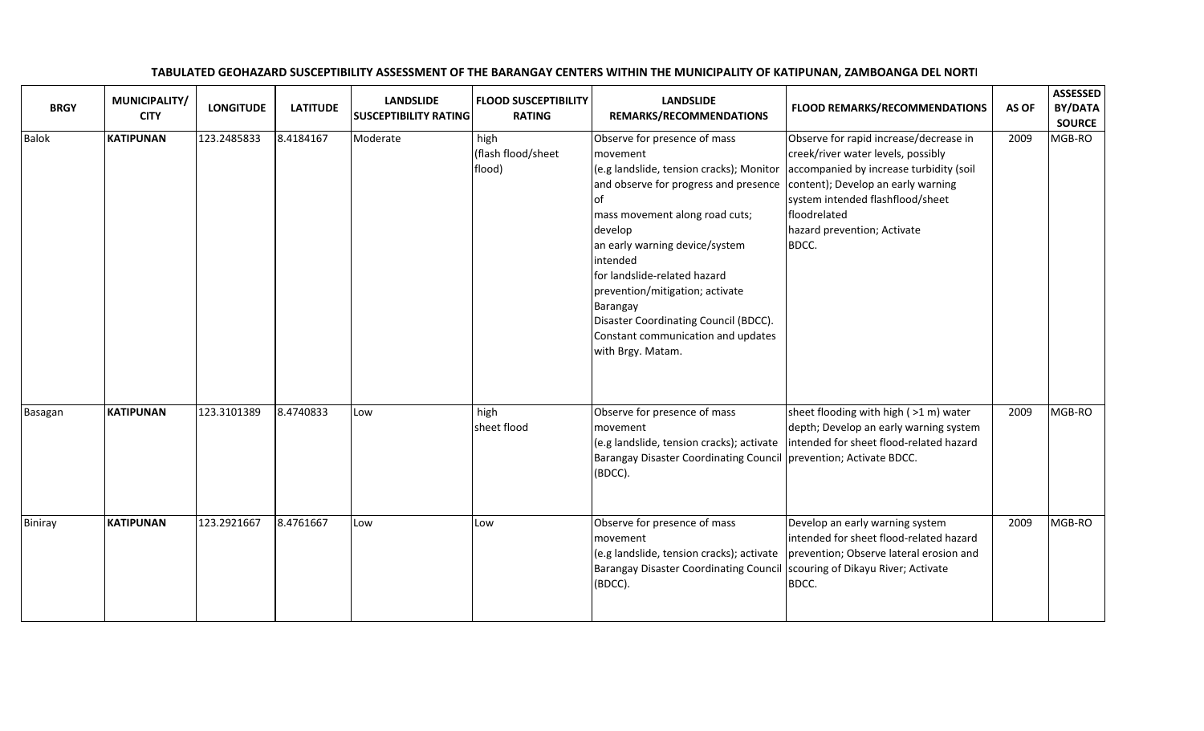| <b>BRGY</b>  | MUNICIPALITY/<br><b>CITY</b> | <b>LONGITUDE</b> | <b>LATITUDE</b> | <b>LANDSLIDE</b><br><b>SUSCEPTIBILITY RATING</b> | <b>FLOOD SUSCEPTIBILITY</b><br><b>RATING</b> | <b>LANDSLIDE</b><br>REMARKS/RECOMMENDATIONS                                                                                                                                                                                                                                                                                                                                                                        | <b>FLOOD REMARKS/RECOMMENDATIONS</b>                                                                                                                                                                                                                      | AS OF | <b>ASSESSED</b><br>BY/DATA<br><b>SOURCE</b> |
|--------------|------------------------------|------------------|-----------------|--------------------------------------------------|----------------------------------------------|--------------------------------------------------------------------------------------------------------------------------------------------------------------------------------------------------------------------------------------------------------------------------------------------------------------------------------------------------------------------------------------------------------------------|-----------------------------------------------------------------------------------------------------------------------------------------------------------------------------------------------------------------------------------------------------------|-------|---------------------------------------------|
| <b>Balok</b> | <b>KATIPUNAN</b>             | 123.2485833      | 8.4184167       | Moderate                                         | high<br>(flash flood/sheet<br>flood)         | Observe for presence of mass<br>movement<br>(e.g landslide, tension cracks); Monitor<br>and observe for progress and presence<br>lof<br>mass movement along road cuts;<br>develop<br>an early warning device/system<br>intended<br>for landslide-related hazard<br>prevention/mitigation; activate<br>Barangay<br>Disaster Coordinating Council (BDCC).<br>Constant communication and updates<br>with Brgy. Matam. | Observe for rapid increase/decrease in<br>creek/river water levels, possibly<br>accompanied by increase turbidity (soil<br>content); Develop an early warning<br>system intended flashflood/sheet<br>floodrelated<br>hazard prevention; Activate<br>BDCC. | 2009  | MGB-RO                                      |
| Basagan      | <b>KATIPUNAN</b>             | 123.3101389      | 8.4740833       | Low                                              | high<br>sheet flood                          | Observe for presence of mass<br>movement<br>(e.g landslide, tension cracks); activate<br><b>Barangay Disaster Coordinating Council</b><br>(BDCC).                                                                                                                                                                                                                                                                  | sheet flooding with high (>1 m) water<br>depth; Develop an early warning system<br>intended for sheet flood-related hazard<br>prevention; Activate BDCC.                                                                                                  | 2009  | MGB-RO                                      |
| Biniray      | <b>KATIPUNAN</b>             | 123.2921667      | 8.4761667       | Low                                              | Low                                          | Observe for presence of mass<br>movement<br>(e.g landslide, tension cracks); activate<br><b>Barangay Disaster Coordinating Council</b><br>(BDCC).                                                                                                                                                                                                                                                                  | Develop an early warning system<br>intended for sheet flood-related hazard<br>prevention; Observe lateral erosion and<br>scouring of Dikayu River; Activate<br>BDCC.                                                                                      | 2009  | MGB-RO                                      |

## TABULATED GEOHAZARD SUSCEPTIBILITY ASSESSMENT OF THE BARANGAY CENTERS WITHIN THE MUNICIPALITY OF KATIPUNAN, ZAMBOANGA DEL NORTI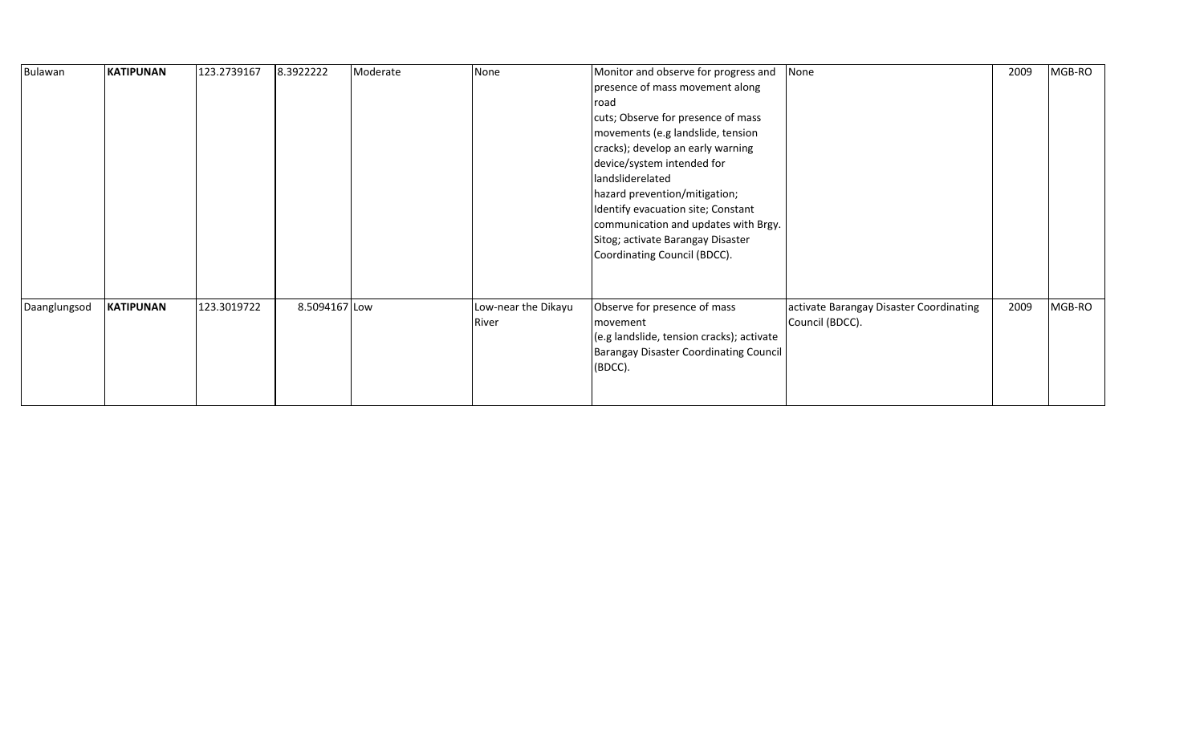| Bulawan      | <b>KATIPUNAN</b> | 123.2739167 | 8.3922222     | Moderate | None                | Monitor and observe for progress and          | None                                    | 2009 | MGB-RO |
|--------------|------------------|-------------|---------------|----------|---------------------|-----------------------------------------------|-----------------------------------------|------|--------|
|              |                  |             |               |          |                     | presence of mass movement along               |                                         |      |        |
|              |                  |             |               |          |                     | road                                          |                                         |      |        |
|              |                  |             |               |          |                     | cuts; Observe for presence of mass            |                                         |      |        |
|              |                  |             |               |          |                     | movements (e.g landslide, tension             |                                         |      |        |
|              |                  |             |               |          |                     | cracks); develop an early warning             |                                         |      |        |
|              |                  |             |               |          |                     | device/system intended for                    |                                         |      |        |
|              |                  |             |               |          |                     | landsliderelated                              |                                         |      |        |
|              |                  |             |               |          |                     | hazard prevention/mitigation;                 |                                         |      |        |
|              |                  |             |               |          |                     | Identify evacuation site; Constant            |                                         |      |        |
|              |                  |             |               |          |                     | communication and updates with Brgy.          |                                         |      |        |
|              |                  |             |               |          |                     | Sitog; activate Barangay Disaster             |                                         |      |        |
|              |                  |             |               |          |                     | Coordinating Council (BDCC).                  |                                         |      |        |
|              |                  |             |               |          |                     |                                               |                                         |      |        |
|              |                  |             |               |          |                     |                                               |                                         |      |        |
| Daanglungsod | <b>KATIPUNAN</b> | 123.3019722 | 8.5094167 Low |          | Low-near the Dikayu | Observe for presence of mass                  | activate Barangay Disaster Coordinating | 2009 | MGB-RO |
|              |                  |             |               |          | River               | movement                                      | Council (BDCC).                         |      |        |
|              |                  |             |               |          |                     | (e.g landslide, tension cracks); activate     |                                         |      |        |
|              |                  |             |               |          |                     | <b>Barangay Disaster Coordinating Council</b> |                                         |      |        |
|              |                  |             |               |          |                     | (BDCC).                                       |                                         |      |        |
|              |                  |             |               |          |                     |                                               |                                         |      |        |
|              |                  |             |               |          |                     |                                               |                                         |      |        |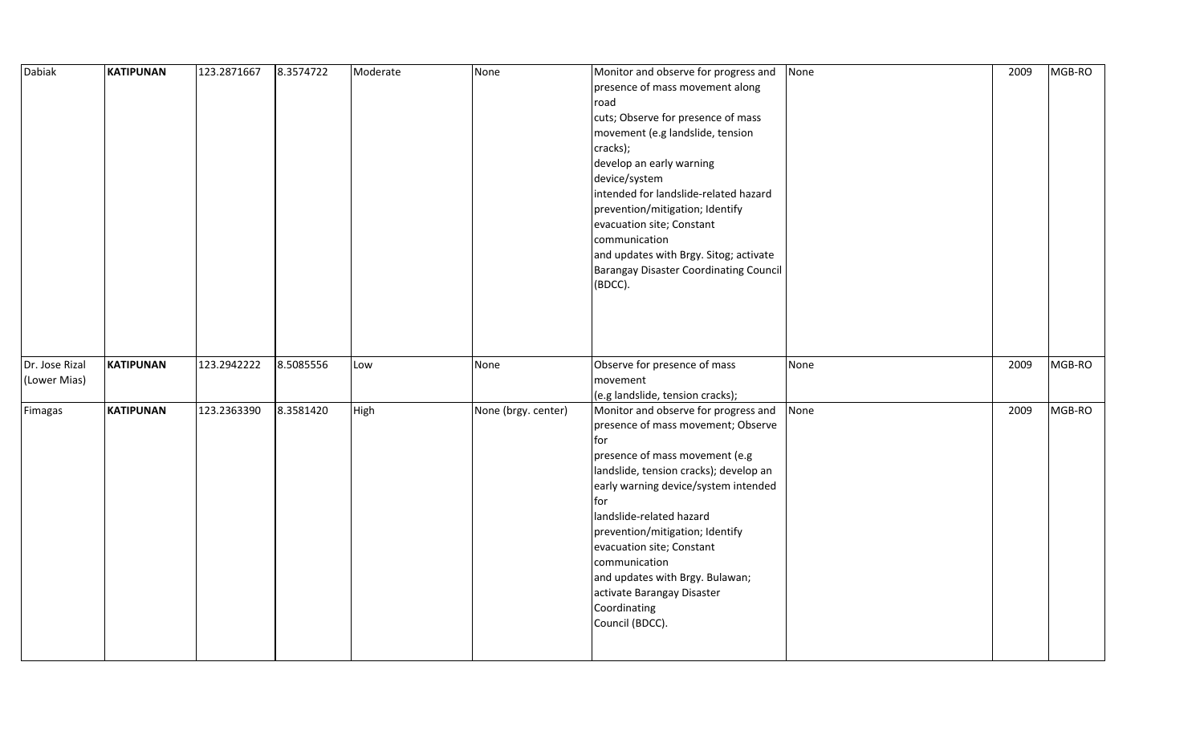| Dabiak                         | <b>KATIPUNAN</b> | 123.2871667 | 8.3574722 | Moderate | None                | Monitor and observe for progress and<br>presence of mass movement along<br>road<br>cuts; Observe for presence of mass<br>movement (e.g landslide, tension<br>cracks);<br>develop an early warning<br>device/system<br>intended for landslide-related hazard<br>prevention/mitigation; Identify<br>evacuation site; Constant<br>communication<br>and updates with Brgy. Sitog; activate<br><b>Barangay Disaster Coordinating Council</b><br>(BDCC). | None | 2009 | MGB-RO |
|--------------------------------|------------------|-------------|-----------|----------|---------------------|----------------------------------------------------------------------------------------------------------------------------------------------------------------------------------------------------------------------------------------------------------------------------------------------------------------------------------------------------------------------------------------------------------------------------------------------------|------|------|--------|
|                                |                  |             |           |          |                     |                                                                                                                                                                                                                                                                                                                                                                                                                                                    |      |      |        |
| Dr. Jose Rizal<br>(Lower Mias) | <b>KATIPUNAN</b> | 123.2942222 | 8.5085556 | Low      | None                | Observe for presence of mass<br>movement<br>(e.g landslide, tension cracks);                                                                                                                                                                                                                                                                                                                                                                       | None | 2009 | MGB-RO |
| Fimagas                        | KATIPUNAN        | 123.2363390 | 8.3581420 | High     | None (brgy. center) | Monitor and observe for progress and<br>presence of mass movement; Observe<br>for<br>presence of mass movement (e.g<br>landslide, tension cracks); develop an<br>early warning device/system intended<br>for<br>landslide-related hazard<br>prevention/mitigation; Identify<br>evacuation site; Constant<br>communication<br>and updates with Brgy. Bulawan;<br>activate Barangay Disaster<br>Coordinating<br>Council (BDCC).                      | None | 2009 | MGB-RO |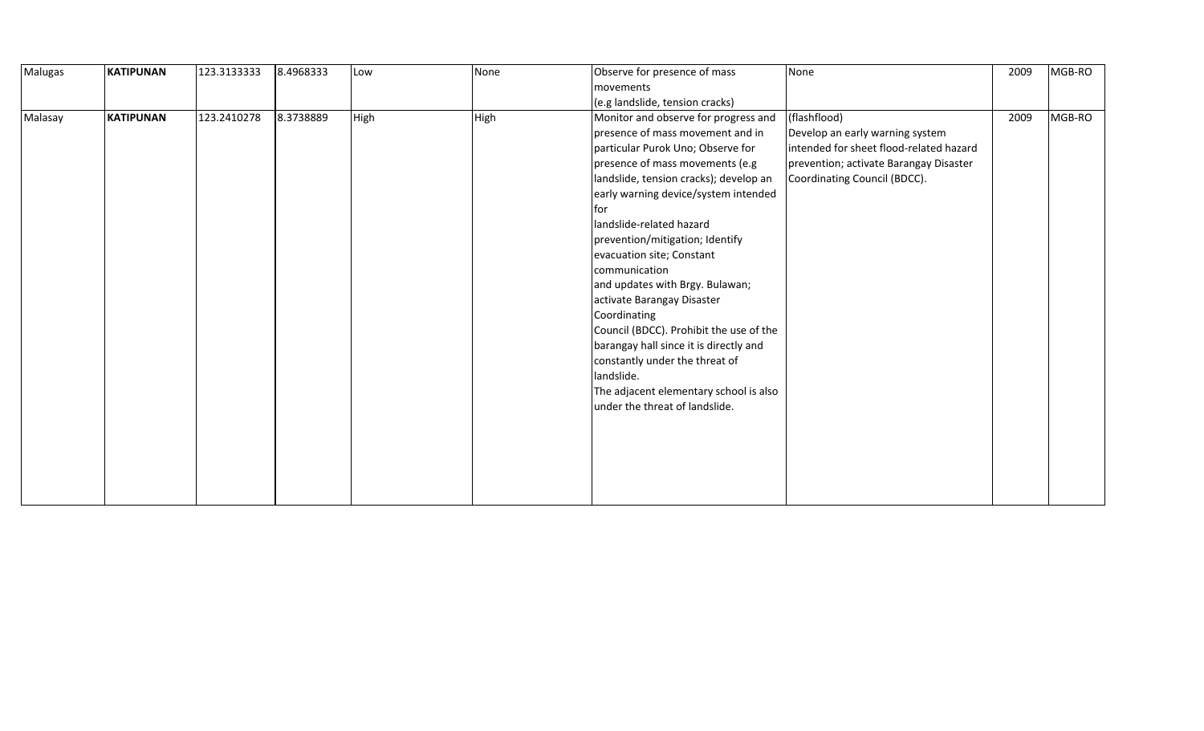| Malugas | <b>KATIPUNAN</b> | 123.3133333 | 8.4968333 | Low  | None | Observe for presence of mass            | None                                    | 2009 | MGB-RO |
|---------|------------------|-------------|-----------|------|------|-----------------------------------------|-----------------------------------------|------|--------|
|         |                  |             |           |      |      | movements                               |                                         |      |        |
|         |                  |             |           |      |      | (e.g landslide, tension cracks)         |                                         |      |        |
| Malasay | <b>KATIPUNAN</b> | 123.2410278 | 8.3738889 | High | High | Monitor and observe for progress and    | (flashflood)                            | 2009 | MGB-RO |
|         |                  |             |           |      |      | presence of mass movement and in        | Develop an early warning system         |      |        |
|         |                  |             |           |      |      | particular Purok Uno; Observe for       | intended for sheet flood-related hazard |      |        |
|         |                  |             |           |      |      | presence of mass movements (e.g         | prevention; activate Barangay Disaster  |      |        |
|         |                  |             |           |      |      | landslide, tension cracks); develop an  | Coordinating Council (BDCC).            |      |        |
|         |                  |             |           |      |      | early warning device/system intended    |                                         |      |        |
|         |                  |             |           |      |      | lfor                                    |                                         |      |        |
|         |                  |             |           |      |      | landslide-related hazard                |                                         |      |        |
|         |                  |             |           |      |      | prevention/mitigation; Identify         |                                         |      |        |
|         |                  |             |           |      |      | evacuation site; Constant               |                                         |      |        |
|         |                  |             |           |      |      | communication                           |                                         |      |        |
|         |                  |             |           |      |      | and updates with Brgy. Bulawan;         |                                         |      |        |
|         |                  |             |           |      |      | activate Barangay Disaster              |                                         |      |        |
|         |                  |             |           |      |      | Coordinating                            |                                         |      |        |
|         |                  |             |           |      |      | Council (BDCC). Prohibit the use of the |                                         |      |        |
|         |                  |             |           |      |      | barangay hall since it is directly and  |                                         |      |        |
|         |                  |             |           |      |      | constantly under the threat of          |                                         |      |        |
|         |                  |             |           |      |      | landslide.                              |                                         |      |        |
|         |                  |             |           |      |      | The adjacent elementary school is also  |                                         |      |        |
|         |                  |             |           |      |      | under the threat of landslide.          |                                         |      |        |
|         |                  |             |           |      |      |                                         |                                         |      |        |
|         |                  |             |           |      |      |                                         |                                         |      |        |
|         |                  |             |           |      |      |                                         |                                         |      |        |
|         |                  |             |           |      |      |                                         |                                         |      |        |
|         |                  |             |           |      |      |                                         |                                         |      |        |
|         |                  |             |           |      |      |                                         |                                         |      |        |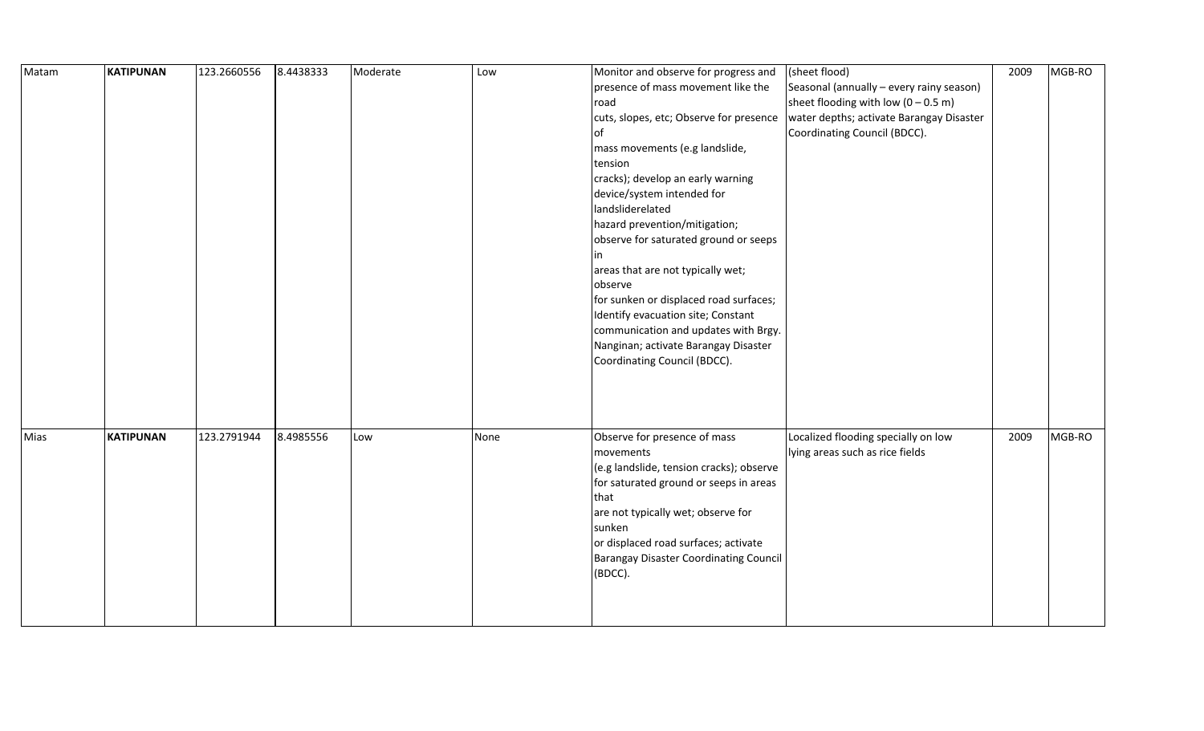| Matam | <b>KATIPUNAN</b> | 123.2660556 | 8.4438333 | Moderate | Low  | Monitor and observe for progress and     | (sheet flood)                                 | 2009 | MGB-RO |
|-------|------------------|-------------|-----------|----------|------|------------------------------------------|-----------------------------------------------|------|--------|
|       |                  |             |           |          |      | presence of mass movement like the       | Seasonal (annually - every rainy season)      |      |        |
|       |                  |             |           |          |      | road                                     | sheet flooding with low $(0 - 0.5 \text{ m})$ |      |        |
|       |                  |             |           |          |      | cuts, slopes, etc; Observe for presence  | water depths; activate Barangay Disaster      |      |        |
|       |                  |             |           |          |      | lof                                      | Coordinating Council (BDCC).                  |      |        |
|       |                  |             |           |          |      | mass movements (e.g landslide,           |                                               |      |        |
|       |                  |             |           |          |      | tension                                  |                                               |      |        |
|       |                  |             |           |          |      | cracks); develop an early warning        |                                               |      |        |
|       |                  |             |           |          |      | device/system intended for               |                                               |      |        |
|       |                  |             |           |          |      | landsliderelated                         |                                               |      |        |
|       |                  |             |           |          |      | hazard prevention/mitigation;            |                                               |      |        |
|       |                  |             |           |          |      | observe for saturated ground or seeps    |                                               |      |        |
|       |                  |             |           |          |      | l in                                     |                                               |      |        |
|       |                  |             |           |          |      | areas that are not typically wet;        |                                               |      |        |
|       |                  |             |           |          |      | observe                                  |                                               |      |        |
|       |                  |             |           |          |      | for sunken or displaced road surfaces;   |                                               |      |        |
|       |                  |             |           |          |      | Identify evacuation site; Constant       |                                               |      |        |
|       |                  |             |           |          |      | communication and updates with Brgy.     |                                               |      |        |
|       |                  |             |           |          |      | Nanginan; activate Barangay Disaster     |                                               |      |        |
|       |                  |             |           |          |      | Coordinating Council (BDCC).             |                                               |      |        |
|       |                  |             |           |          |      |                                          |                                               |      |        |
|       |                  |             |           |          |      |                                          |                                               |      |        |
|       |                  |             |           |          |      |                                          |                                               |      |        |
|       |                  |             |           |          |      |                                          |                                               |      |        |
| Mias  | <b>KATIPUNAN</b> | 123.2791944 | 8.4985556 | Low      | None | Observe for presence of mass             | Localized flooding specially on low           | 2009 | MGB-RO |
|       |                  |             |           |          |      | movements                                | lying areas such as rice fields               |      |        |
|       |                  |             |           |          |      | (e.g landslide, tension cracks); observe |                                               |      |        |
|       |                  |             |           |          |      | for saturated ground or seeps in areas   |                                               |      |        |
|       |                  |             |           |          |      | that                                     |                                               |      |        |
|       |                  |             |           |          |      | are not typically wet; observe for       |                                               |      |        |
|       |                  |             |           |          |      | sunken                                   |                                               |      |        |
|       |                  |             |           |          |      | or displaced road surfaces; activate     |                                               |      |        |
|       |                  |             |           |          |      | Barangay Disaster Coordinating Council   |                                               |      |        |
|       |                  |             |           |          |      | (BDCC).                                  |                                               |      |        |
|       |                  |             |           |          |      |                                          |                                               |      |        |
|       |                  |             |           |          |      |                                          |                                               |      |        |
|       |                  |             |           |          |      |                                          |                                               |      |        |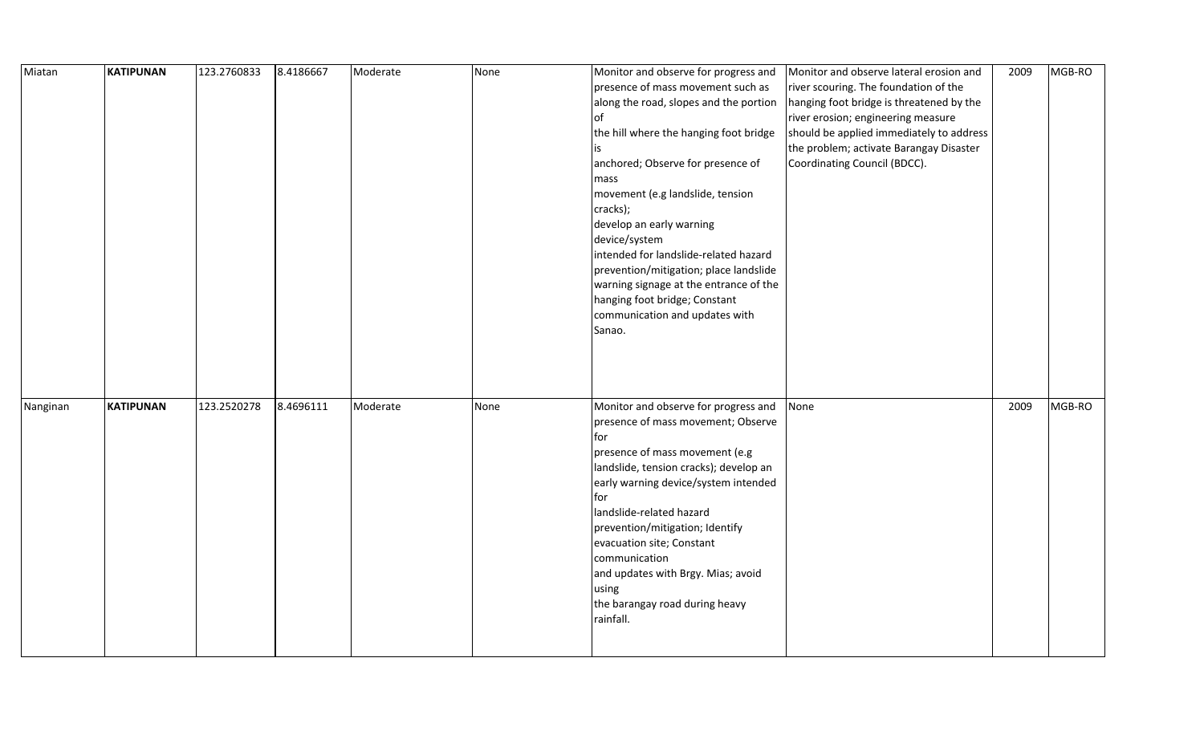| Miatan   | KATIPUNAN        | 123.2760833 | 8.4186667 | Moderate | None | Monitor and observe for progress and   | Monitor and observe lateral erosion and  | 2009 | MGB-RO |
|----------|------------------|-------------|-----------|----------|------|----------------------------------------|------------------------------------------|------|--------|
|          |                  |             |           |          |      | presence of mass movement such as      | river scouring. The foundation of the    |      |        |
|          |                  |             |           |          |      | along the road, slopes and the portion | hanging foot bridge is threatened by the |      |        |
|          |                  |             |           |          |      | lof                                    | river erosion; engineering measure       |      |        |
|          |                  |             |           |          |      | the hill where the hanging foot bridge | should be applied immediately to address |      |        |
|          |                  |             |           |          |      |                                        | the problem; activate Barangay Disaster  |      |        |
|          |                  |             |           |          |      | anchored; Observe for presence of      | Coordinating Council (BDCC).             |      |        |
|          |                  |             |           |          |      | mass                                   |                                          |      |        |
|          |                  |             |           |          |      | movement (e.g landslide, tension       |                                          |      |        |
|          |                  |             |           |          |      | cracks);                               |                                          |      |        |
|          |                  |             |           |          |      | develop an early warning               |                                          |      |        |
|          |                  |             |           |          |      | device/system                          |                                          |      |        |
|          |                  |             |           |          |      | intended for landslide-related hazard  |                                          |      |        |
|          |                  |             |           |          |      | prevention/mitigation; place landslide |                                          |      |        |
|          |                  |             |           |          |      | warning signage at the entrance of the |                                          |      |        |
|          |                  |             |           |          |      | hanging foot bridge; Constant          |                                          |      |        |
|          |                  |             |           |          |      | communication and updates with         |                                          |      |        |
|          |                  |             |           |          |      | Sanao.                                 |                                          |      |        |
|          |                  |             |           |          |      |                                        |                                          |      |        |
|          |                  |             |           |          |      |                                        |                                          |      |        |
|          |                  |             |           |          |      |                                        |                                          |      |        |
|          |                  |             |           |          |      |                                        |                                          |      |        |
| Nanginan | <b>KATIPUNAN</b> | 123.2520278 | 8.4696111 | Moderate | None | Monitor and observe for progress and   | None                                     | 2009 | MGB-RO |
|          |                  |             |           |          |      | presence of mass movement; Observe     |                                          |      |        |
|          |                  |             |           |          |      | for                                    |                                          |      |        |
|          |                  |             |           |          |      | presence of mass movement (e.g         |                                          |      |        |
|          |                  |             |           |          |      | landslide, tension cracks); develop an |                                          |      |        |
|          |                  |             |           |          |      | early warning device/system intended   |                                          |      |        |
|          |                  |             |           |          |      | for l                                  |                                          |      |        |
|          |                  |             |           |          |      | landslide-related hazard               |                                          |      |        |
|          |                  |             |           |          |      | prevention/mitigation; Identify        |                                          |      |        |
|          |                  |             |           |          |      | evacuation site; Constant              |                                          |      |        |
|          |                  |             |           |          |      | communication                          |                                          |      |        |
|          |                  |             |           |          |      | and updates with Brgy. Mias; avoid     |                                          |      |        |
|          |                  |             |           |          |      | using                                  |                                          |      |        |
|          |                  |             |           |          |      | the barangay road during heavy         |                                          |      |        |
|          |                  |             |           |          |      | rainfall.                              |                                          |      |        |
|          |                  |             |           |          |      |                                        |                                          |      |        |
|          |                  |             |           |          |      |                                        |                                          |      |        |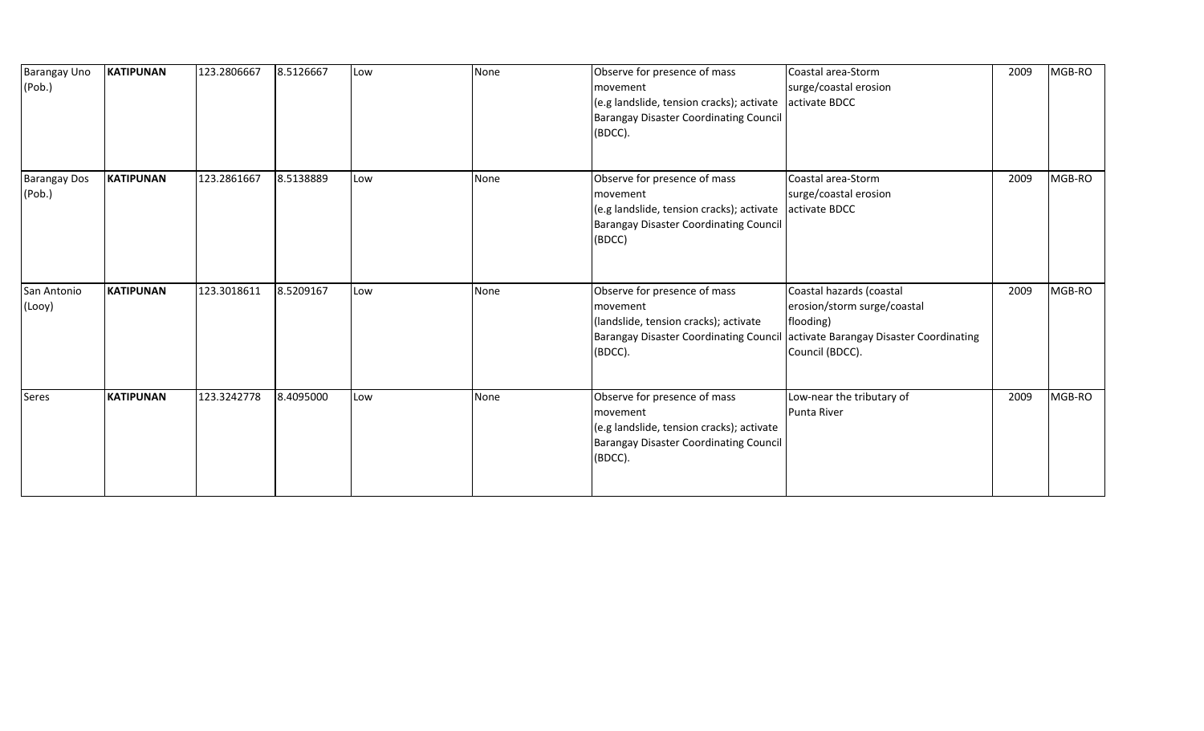| Barangay Uno<br>(Pob.)        | <b>KATIPUNAN</b> | 123.2806667 | 8.5126667 | Low | None | Observe for presence of mass<br>movement<br>(e.g landslide, tension cracks); activate<br><b>Barangay Disaster Coordinating Council</b><br>(BDCC).              | Coastal area-Storm<br>surge/coastal erosion<br>activate BDCC                                                                       | 2009 | MGB-RO |
|-------------------------------|------------------|-------------|-----------|-----|------|----------------------------------------------------------------------------------------------------------------------------------------------------------------|------------------------------------------------------------------------------------------------------------------------------------|------|--------|
| <b>Barangay Dos</b><br>(Pob.) | <b>KATIPUNAN</b> | 123.2861667 | 8.5138889 | Low | None | Observe for presence of mass<br>movement<br>(e.g landslide, tension cracks); activate activate BDCC<br><b>Barangay Disaster Coordinating Council</b><br>(BDCC) | Coastal area-Storm<br>surge/coastal erosion                                                                                        | 2009 | MGB-RO |
| San Antonio<br>(Looy)         | <b>KATIPUNAN</b> | 123.3018611 | 8.5209167 | Low | None | Observe for presence of mass<br>movement<br>(landslide, tension cracks); activate<br><b>Barangay Disaster Coordinating Council</b><br>(BDCC).                  | Coastal hazards (coastal<br>erosion/storm surge/coastal<br>flooding)<br>activate Barangay Disaster Coordinating<br>Council (BDCC). | 2009 | MGB-RO |
| Seres                         | <b>KATIPUNAN</b> | 123.3242778 | 8.4095000 | Low | None | Observe for presence of mass<br>movement<br>(e.g landslide, tension cracks); activate<br><b>Barangay Disaster Coordinating Council</b><br>(BDCC).              | Low-near the tributary of<br>Punta River                                                                                           | 2009 | MGB-RO |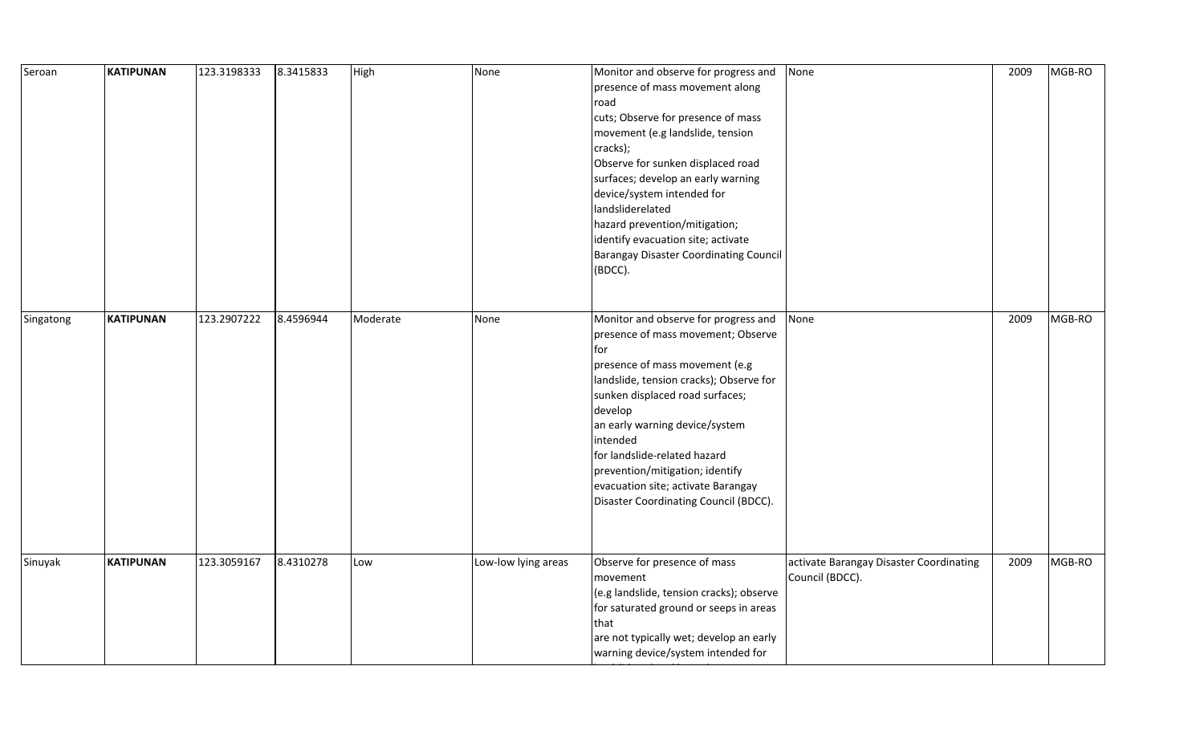| Seroan    | <b>KATIPUNAN</b> | 123.3198333 | 8.3415833 | High     | None                | Monitor and observe for progress and<br>presence of mass movement along<br>road<br>cuts; Observe for presence of mass<br>movement (e.g landslide, tension<br>cracks);<br>Observe for sunken displaced road<br>surfaces; develop an early warning<br>device/system intended for<br>landsliderelated<br>hazard prevention/mitigation;<br>identify evacuation site; activate<br><b>Barangay Disaster Coordinating Council</b><br>(BDCC). | None                                                       | 2009 | MGB-RO |
|-----------|------------------|-------------|-----------|----------|---------------------|---------------------------------------------------------------------------------------------------------------------------------------------------------------------------------------------------------------------------------------------------------------------------------------------------------------------------------------------------------------------------------------------------------------------------------------|------------------------------------------------------------|------|--------|
| Singatong | <b>KATIPUNAN</b> | 123.2907222 | 8.4596944 | Moderate | None                | Monitor and observe for progress and<br>presence of mass movement; Observe<br>for<br>presence of mass movement (e.g<br>landslide, tension cracks); Observe for<br>sunken displaced road surfaces;<br>develop<br>an early warning device/system<br>intended<br>for landslide-related hazard<br>prevention/mitigation; identify<br>evacuation site; activate Barangay<br>Disaster Coordinating Council (BDCC).                          | None                                                       | 2009 | MGB-RO |
| Sinuyak   | <b>KATIPUNAN</b> | 123.3059167 | 8.4310278 | Low      | Low-low lying areas | Observe for presence of mass<br>movement<br>(e.g landslide, tension cracks); observe<br>for saturated ground or seeps in areas<br>that<br>are not typically wet; develop an early<br>warning device/system intended for                                                                                                                                                                                                               | activate Barangay Disaster Coordinating<br>Council (BDCC). | 2009 | MGB-RO |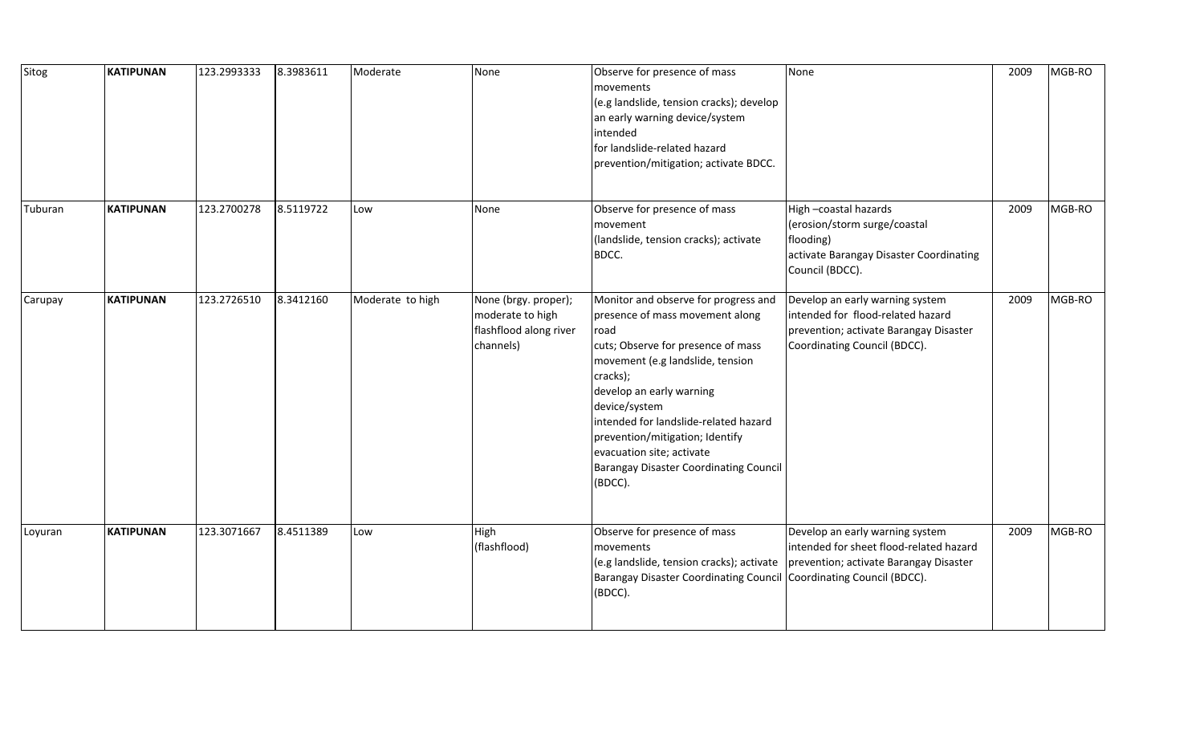| Sitog   | <b>KATIPUNAN</b> | 123.2993333 | 8.3983611 | Moderate         | None                                                                            | Observe for presence of mass<br>movements<br>(e.g landslide, tension cracks); develop<br>an early warning device/system<br>intended<br>for landslide-related hazard<br>prevention/mitigation; activate BDCC.                                                                                                                                                                            | None                                                                                                                                           | 2009 | MGB-RO |
|---------|------------------|-------------|-----------|------------------|---------------------------------------------------------------------------------|-----------------------------------------------------------------------------------------------------------------------------------------------------------------------------------------------------------------------------------------------------------------------------------------------------------------------------------------------------------------------------------------|------------------------------------------------------------------------------------------------------------------------------------------------|------|--------|
| Tuburan | <b>KATIPUNAN</b> | 123.2700278 | 8.5119722 | Low              | None                                                                            | Observe for presence of mass<br>movement<br>(landslide, tension cracks); activate<br>BDCC.                                                                                                                                                                                                                                                                                              | High-coastal hazards<br>(erosion/storm surge/coastal<br>flooding)<br>activate Barangay Disaster Coordinating<br>Council (BDCC).                | 2009 | MGB-RO |
| Carupay | <b>KATIPUNAN</b> | 123.2726510 | 8.3412160 | Moderate to high | None (brgy. proper);<br>moderate to high<br>flashflood along river<br>channels) | Monitor and observe for progress and<br>presence of mass movement along<br>road<br>cuts; Observe for presence of mass<br>movement (e.g landslide, tension<br>cracks);<br>develop an early warning<br>device/system<br>intended for landslide-related hazard<br>prevention/mitigation; Identify<br>evacuation site; activate<br><b>Barangay Disaster Coordinating Council</b><br>(BDCC). | Develop an early warning system<br>intended for flood-related hazard<br>prevention; activate Barangay Disaster<br>Coordinating Council (BDCC). | 2009 | MGB-RO |
| Loyuran | <b>KATIPUNAN</b> | 123.3071667 | 8.4511389 | Low              | High<br>(flashflood)                                                            | Observe for presence of mass<br>movements<br>(e.g landslide, tension cracks); activate<br>Barangay Disaster Coordinating Council Coordinating Council (BDCC).<br>(BDCC).                                                                                                                                                                                                                | Develop an early warning system<br>intended for sheet flood-related hazard<br>prevention; activate Barangay Disaster                           | 2009 | MGB-RO |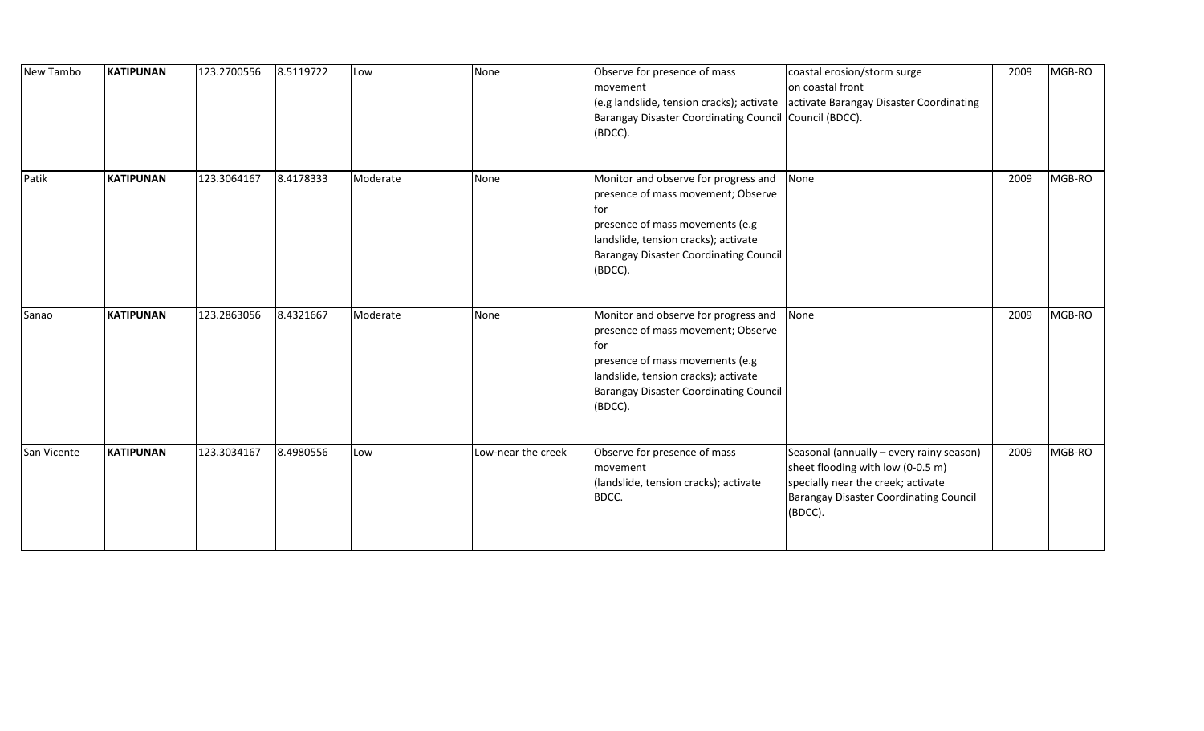| New Tambo   | <b>KATIPUNAN</b> | 123.2700556 | 8.5119722 | Low      | None               | Observe for presence of mass<br>movement<br>Barangay Disaster Coordinating Council Council (BDCC).<br>(BDCC).                                                                                                                   | coastal erosion/storm surge<br>on coastal front<br>(e.g landslide, tension cracks); activate activate Barangay Disaster Coordinating                                            | 2009 | MGB-RO |
|-------------|------------------|-------------|-----------|----------|--------------------|---------------------------------------------------------------------------------------------------------------------------------------------------------------------------------------------------------------------------------|---------------------------------------------------------------------------------------------------------------------------------------------------------------------------------|------|--------|
| Patik       | <b>KATIPUNAN</b> | 123.3064167 | 8.4178333 | Moderate | None               | Monitor and observe for progress and<br>presence of mass movement; Observe<br><b>for</b><br>presence of mass movements (e.g<br>landslide, tension cracks); activate<br><b>Barangay Disaster Coordinating Council</b><br>(BDCC). | None                                                                                                                                                                            | 2009 | MGB-RO |
| Sanao       | <b>KATIPUNAN</b> | 123.2863056 | 8.4321667 | Moderate | None               | Monitor and observe for progress and<br>presence of mass movement; Observe<br>lfor<br>presence of mass movements (e.g<br>landslide, tension cracks); activate<br><b>Barangay Disaster Coordinating Council</b><br>(BDCC).       | None                                                                                                                                                                            | 2009 | MGB-RO |
| San Vicente | <b>KATIPUNAN</b> | 123.3034167 | 8.4980556 | Low      | Low-near the creek | Observe for presence of mass<br>movement<br>(landslide, tension cracks); activate<br>BDCC.                                                                                                                                      | Seasonal (annually - every rainy season)<br>sheet flooding with low (0-0.5 m)<br>specially near the creek; activate<br><b>Barangay Disaster Coordinating Council</b><br>(BDCC). | 2009 | MGB-RO |